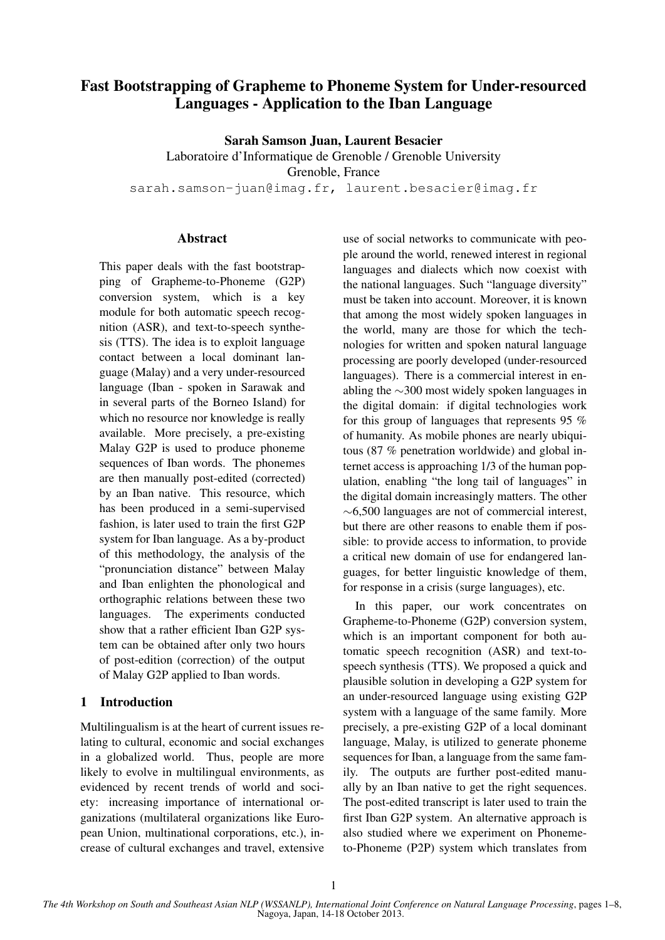# Fast Bootstrapping of Grapheme to Phoneme System for Under-resourced Languages - Application to the Iban Language

Sarah Samson Juan, Laurent Besacier

Laboratoire d'Informatique de Grenoble / Grenoble University Grenoble, France

sarah.samson-juan@imag.fr, laurent.besacier@imag.fr

# Abstract

This paper deals with the fast bootstrapping of Grapheme-to-Phoneme (G2P) conversion system, which is a key module for both automatic speech recognition (ASR), and text-to-speech synthesis (TTS). The idea is to exploit language contact between a local dominant language (Malay) and a very under-resourced language (Iban - spoken in Sarawak and in several parts of the Borneo Island) for which no resource nor knowledge is really available. More precisely, a pre-existing Malay G2P is used to produce phoneme sequences of Iban words. The phonemes are then manually post-edited (corrected) by an Iban native. This resource, which has been produced in a semi-supervised fashion, is later used to train the first G2P system for Iban language. As a by-product of this methodology, the analysis of the "pronunciation distance" between Malay and Iban enlighten the phonological and orthographic relations between these two languages. The experiments conducted show that a rather efficient Iban G2P system can be obtained after only two hours of post-edition (correction) of the output of Malay G2P applied to Iban words.

# 1 Introduction

Multilingualism is at the heart of current issues relating to cultural, economic and social exchanges in a globalized world. Thus, people are more likely to evolve in multilingual environments, as evidenced by recent trends of world and society: increasing importance of international organizations (multilateral organizations like European Union, multinational corporations, etc.), increase of cultural exchanges and travel, extensive use of social networks to communicate with people around the world, renewed interest in regional languages and dialects which now coexist with the national languages. Such "language diversity" must be taken into account. Moreover, it is known that among the most widely spoken languages in the world, many are those for which the technologies for written and spoken natural language processing are poorly developed (under-resourced languages). There is a commercial interest in enabling the ∼300 most widely spoken languages in the digital domain: if digital technologies work for this group of languages that represents 95 % of humanity. As mobile phones are nearly ubiquitous (87 % penetration worldwide) and global internet access is approaching 1/3 of the human population, enabling "the long tail of languages" in the digital domain increasingly matters. The other ∼6,500 languages are not of commercial interest, but there are other reasons to enable them if possible: to provide access to information, to provide a critical new domain of use for endangered languages, for better linguistic knowledge of them, for response in a crisis (surge languages), etc.

In this paper, our work concentrates on Grapheme-to-Phoneme (G2P) conversion system, which is an important component for both automatic speech recognition (ASR) and text-tospeech synthesis (TTS). We proposed a quick and plausible solution in developing a G2P system for an under-resourced language using existing G2P system with a language of the same family. More precisely, a pre-existing G2P of a local dominant language, Malay, is utilized to generate phoneme sequences for Iban, a language from the same family. The outputs are further post-edited manually by an Iban native to get the right sequences. The post-edited transcript is later used to train the first Iban G2P system. An alternative approach is also studied where we experiment on Phonemeto-Phoneme (P2P) system which translates from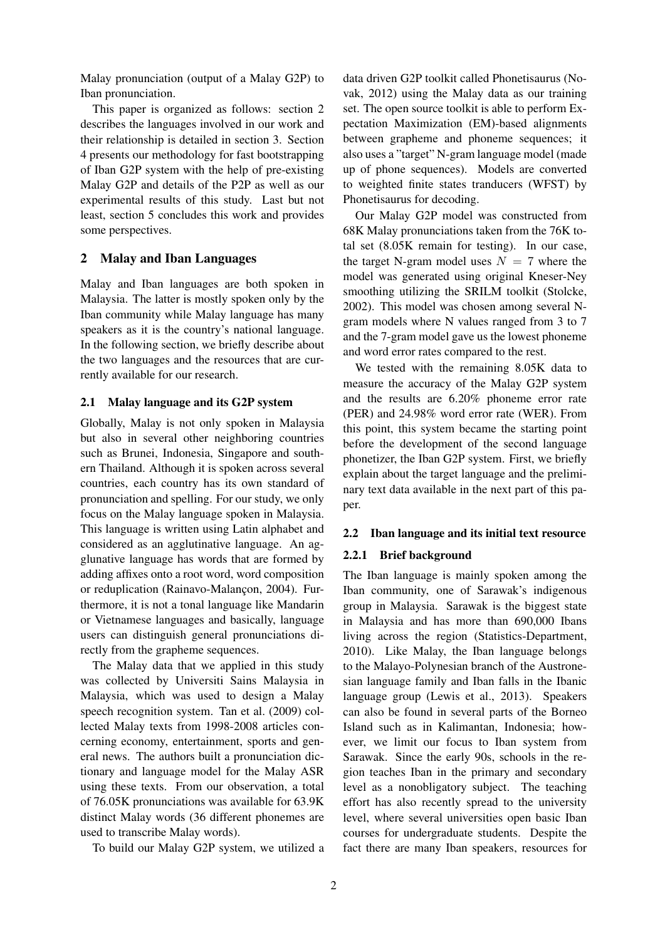Malay pronunciation (output of a Malay G2P) to Iban pronunciation.

This paper is organized as follows: section 2 describes the languages involved in our work and their relationship is detailed in section 3. Section 4 presents our methodology for fast bootstrapping of Iban G2P system with the help of pre-existing Malay G2P and details of the P2P as well as our experimental results of this study. Last but not least, section 5 concludes this work and provides some perspectives.

# 2 Malay and Iban Languages

Malay and Iban languages are both spoken in Malaysia. The latter is mostly spoken only by the Iban community while Malay language has many speakers as it is the country's national language. In the following section, we briefly describe about the two languages and the resources that are currently available for our research.

#### 2.1 Malay language and its G2P system

Globally, Malay is not only spoken in Malaysia but also in several other neighboring countries such as Brunei, Indonesia, Singapore and southern Thailand. Although it is spoken across several countries, each country has its own standard of pronunciation and spelling. For our study, we only focus on the Malay language spoken in Malaysia. This language is written using Latin alphabet and considered as an agglutinative language. An agglunative language has words that are formed by adding affixes onto a root word, word composition or reduplication (Rainavo-Malançon, 2004). Furthermore, it is not a tonal language like Mandarin or Vietnamese languages and basically, language users can distinguish general pronunciations directly from the grapheme sequences.

The Malay data that we applied in this study was collected by Universiti Sains Malaysia in Malaysia, which was used to design a Malay speech recognition system. Tan et al. (2009) collected Malay texts from 1998-2008 articles concerning economy, entertainment, sports and general news. The authors built a pronunciation dictionary and language model for the Malay ASR using these texts. From our observation, a total of 76.05K pronunciations was available for 63.9K distinct Malay words (36 different phonemes are used to transcribe Malay words).

To build our Malay G2P system, we utilized a

data driven G2P toolkit called Phonetisaurus (Novak, 2012) using the Malay data as our training set. The open source toolkit is able to perform Expectation Maximization (EM)-based alignments between grapheme and phoneme sequences; it also uses a "target" N-gram language model (made up of phone sequences). Models are converted to weighted finite states tranducers (WFST) by Phonetisaurus for decoding.

Our Malay G2P model was constructed from 68K Malay pronunciations taken from the 76K total set (8.05K remain for testing). In our case, the target N-gram model uses  $N = 7$  where the model was generated using original Kneser-Ney smoothing utilizing the SRILM toolkit (Stolcke, 2002). This model was chosen among several Ngram models where N values ranged from 3 to 7 and the 7-gram model gave us the lowest phoneme and word error rates compared to the rest.

We tested with the remaining 8.05K data to measure the accuracy of the Malay G2P system and the results are 6.20% phoneme error rate (PER) and 24.98% word error rate (WER). From this point, this system became the starting point before the development of the second language phonetizer, the Iban G2P system. First, we briefly explain about the target language and the preliminary text data available in the next part of this paper.

#### 2.2 Iban language and its initial text resource

#### 2.2.1 Brief background

The Iban language is mainly spoken among the Iban community, one of Sarawak's indigenous group in Malaysia. Sarawak is the biggest state in Malaysia and has more than 690,000 Ibans living across the region (Statistics-Department, 2010). Like Malay, the Iban language belongs to the Malayo-Polynesian branch of the Austronesian language family and Iban falls in the Ibanic language group (Lewis et al., 2013). Speakers can also be found in several parts of the Borneo Island such as in Kalimantan, Indonesia; however, we limit our focus to Iban system from Sarawak. Since the early 90s, schools in the region teaches Iban in the primary and secondary level as a nonobligatory subject. The teaching effort has also recently spread to the university level, where several universities open basic Iban courses for undergraduate students. Despite the fact there are many Iban speakers, resources for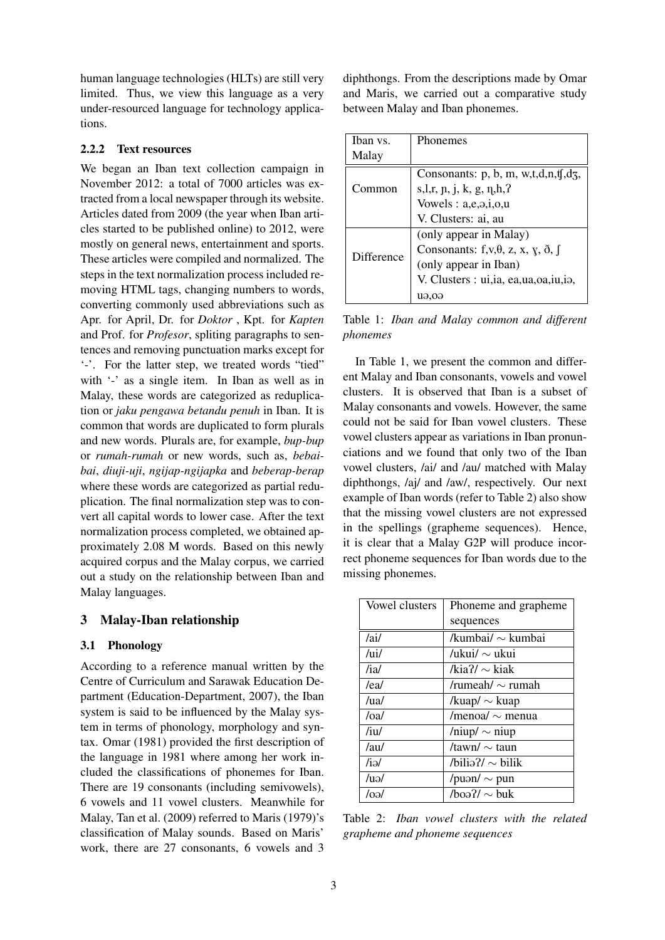human language technologies (HLTs) are still very limited. Thus, we view this language as a very under-resourced language for technology applications.

#### 2.2.2 Text resources

We began an Iban text collection campaign in November 2012: a total of 7000 articles was extracted from a local newspaper through its website. Articles dated from 2009 (the year when Iban articles started to be published online) to 2012, were mostly on general news, entertainment and sports. These articles were compiled and normalized. The steps in the text normalization process included removing HTML tags, changing numbers to words, converting commonly used abbreviations such as Apr. for April, Dr. for *Doktor* , Kpt. for *Kapten* and Prof. for *Profesor*, spliting paragraphs to sentences and removing punctuation marks except for '-'. For the latter step, we treated words "tied" with '-' as a single item. In Iban as well as in Malay, these words are categorized as reduplication or *jaku pengawa betandu penuh* in Iban. It is common that words are duplicated to form plurals and new words. Plurals are, for example, *bup-bup* or *rumah-rumah* or new words, such as, *bebaibai*, *diuji-uji*, *ngijap-ngijapka* and *beberap-berap* where these words are categorized as partial reduplication. The final normalization step was to convert all capital words to lower case. After the text normalization process completed, we obtained approximately 2.08 M words. Based on this newly acquired corpus and the Malay corpus, we carried out a study on the relationship between Iban and Malay languages.

# 3 Malay-Iban relationship

#### 3.1 Phonology

According to a reference manual written by the Centre of Curriculum and Sarawak Education Department (Education-Department, 2007), the Iban system is said to be influenced by the Malay system in terms of phonology, morphology and syntax. Omar (1981) provided the first description of the language in 1981 where among her work included the classifications of phonemes for Iban. There are 19 consonants (including semivowels), 6 vowels and 11 vowel clusters. Meanwhile for Malay, Tan et al. (2009) referred to Maris (1979)'s classification of Malay sounds. Based on Maris' work, there are 27 consonants, 6 vowels and 3

diphthongs. From the descriptions made by Omar and Maris, we carried out a comparative study between Malay and Iban phonemes.

| Iban vs.          | Phonemes                                                                |  |
|-------------------|-------------------------------------------------------------------------|--|
| Malay             |                                                                         |  |
|                   | Consonants: $p$ , $b$ , $m$ , $w$ , $t$ , $d$ , $n$ , $f$ , $d$ , $f$ , |  |
| Common            | s, l, r, p, j, k, g, n, h, ?                                            |  |
|                   | Vowels : $a,e,9,i,0,u$                                                  |  |
|                   | V. Clusters: ai, au                                                     |  |
|                   | (only appear in Malay)                                                  |  |
| <b>Difference</b> | Consonants: $f, v, \theta, z, x, y, \delta, \beta$                      |  |
|                   | (only appear in Iban)                                                   |  |
|                   | V. Clusters : ui, ia, ea, ua, oa, iu, ia,                               |  |
|                   | $u_{\theta,0}$                                                          |  |

Table 1: *Iban and Malay common and different phonemes*

In Table 1, we present the common and different Malay and Iban consonants, vowels and vowel clusters. It is observed that Iban is a subset of Malay consonants and vowels. However, the same could not be said for Iban vowel clusters. These vowel clusters appear as variations in Iban pronunciations and we found that only two of the Iban vowel clusters, /ai/ and /au/ matched with Malay diphthongs, /aj/ and /aw/, respectively. Our next example of Iban words (refer to Table 2) also show that the missing vowel clusters are not expressed in the spellings (grapheme sequences). Hence, it is clear that a Malay G2P will produce incorrect phoneme sequences for Iban words due to the missing phonemes.

| Vowel clusters | Phoneme and grapheme   |  |  |
|----------------|------------------------|--|--|
|                | sequences              |  |  |
| /ai/           | /kumbai/ $\sim$ kumbai |  |  |
| /ui/           | /ukui/ $\sim$ ukui     |  |  |
| /ia/           | /kia?/ $\sim$ kiak     |  |  |
| /ea/           | /rumeah/ $\sim$ rumah  |  |  |
| /ual           | /kuap/ $\sim$ kuap     |  |  |
| /0a/           | /menoa/ $\sim$ menua   |  |  |
| /iu/           | /niup/ $\sim$ niup     |  |  |
| /au/           | /tawn/ $\sim$ taun     |  |  |
| /iə/           | /bilia?/ $\sim$ bilik  |  |  |
| $\mu$          | /puən/ $\sim$ pun      |  |  |
| /oə/           | $/b$ oa?/ $\sim$ buk   |  |  |

Table 2: *Iban vowel clusters with the related grapheme and phoneme sequences*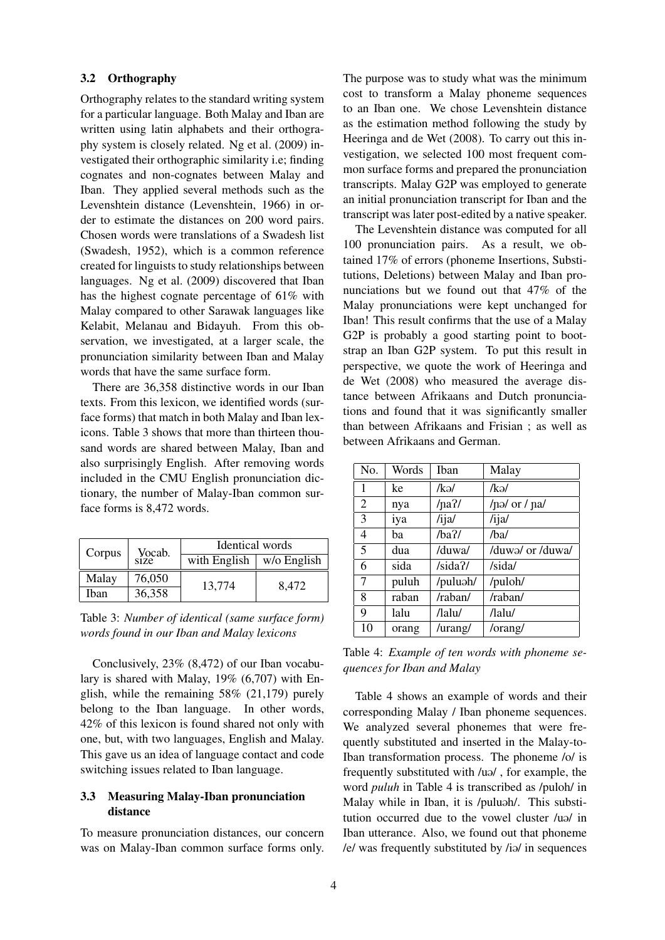#### 3.2 Orthography

Orthography relates to the standard writing system for a particular language. Both Malay and Iban are written using latin alphabets and their orthography system is closely related. Ng et al. (2009) investigated their orthographic similarity i.e; finding cognates and non-cognates between Malay and Iban. They applied several methods such as the Levenshtein distance (Levenshtein, 1966) in order to estimate the distances on 200 word pairs. Chosen words were translations of a Swadesh list (Swadesh, 1952), which is a common reference created for linguists to study relationships between languages. Ng et al. (2009) discovered that Iban has the highest cognate percentage of 61% with Malay compared to other Sarawak languages like Kelabit, Melanau and Bidayuh. From this observation, we investigated, at a larger scale, the pronunciation similarity between Iban and Malay words that have the same surface form.

There are 36,358 distinctive words in our Iban texts. From this lexicon, we identified words (surface forms) that match in both Malay and Iban lexicons. Table 3 shows that more than thirteen thousand words are shared between Malay, Iban and also surprisingly English. After removing words included in the CMU English pronunciation dictionary, the number of Malay-Iban common surface forms is 8,472 words.

| Corpus       | Vocab.<br>size | Identical words |             |  |
|--------------|----------------|-----------------|-------------|--|
|              |                | with English    | w/o English |  |
| Malay        | 76,050         | 13,774          | 8,472       |  |
| <b>I</b> ban | 36,358         |                 |             |  |

Table 3: *Number of identical (same surface form) words found in our Iban and Malay lexicons*

Conclusively, 23% (8,472) of our Iban vocabulary is shared with Malay, 19% (6,707) with English, while the remaining 58% (21,179) purely belong to the Iban language. In other words, 42% of this lexicon is found shared not only with one, but, with two languages, English and Malay. This gave us an idea of language contact and code switching issues related to Iban language.

# 3.3 Measuring Malay-Iban pronunciation distance

To measure pronunciation distances, our concern was on Malay-Iban common surface forms only.

The purpose was to study what was the minimum cost to transform a Malay phoneme sequences to an Iban one. We chose Levenshtein distance as the estimation method following the study by Heeringa and de Wet (2008). To carry out this investigation, we selected 100 most frequent common surface forms and prepared the pronunciation transcripts. Malay G2P was employed to generate an initial pronunciation transcript for Iban and the transcript was later post-edited by a native speaker.

The Levenshtein distance was computed for all 100 pronunciation pairs. As a result, we obtained 17% of errors (phoneme Insertions, Substitutions, Deletions) between Malay and Iban pronunciations but we found out that 47% of the Malay pronunciations were kept unchanged for Iban! This result confirms that the use of a Malay G2P is probably a good starting point to bootstrap an Iban G2P system. To put this result in perspective, we quote the work of Heeringa and de Wet (2008) who measured the average distance between Afrikaans and Dutch pronunciations and found that it was significantly smaller than between Afrikaans and Frisian ; as well as between Afrikaans and German.

| No. | Words | Iban     | Malay                             |
|-----|-------|----------|-----------------------------------|
| 1   | ke    | /kə/     | /kə/                              |
| 2   | nya   | $/na$ ?/ | / $\pi$ / $\pi$ / $\pi$ / $\pi$ / |
| 3   | iya   | /ijal    | /ijal                             |
| 4   | ba    | $/ba$ ?/ | /ba/                              |
| 5   | dua   | /duwa/   | /duwa/ or /duwa/                  |
| 6   | sida  | /sida?   | /sida/                            |
| 7   | puluh | /puluəh/ | /puloh/                           |
| 8   | raban | /raban/  | /raban/                           |
| 9   | lalu  | /lalu/   | /lalu/                            |
| 10  | orang | /urang/  | /orang/                           |

Table 4: *Example of ten words with phoneme sequences for Iban and Malay*

Table 4 shows an example of words and their corresponding Malay / Iban phoneme sequences. We analyzed several phonemes that were frequently substituted and inserted in the Malay-to-Iban transformation process. The phoneme /o/ is frequently substituted with  $\lambda$ u<sup>2</sup>, for example, the word *puluh* in Table 4 is transcribed as /puloh/ in Malay while in Iban, it is /puluah/. This substitution occurred due to the vowel cluster /uo/ in Iban utterance. Also, we found out that phoneme /e/ was frequently substituted by /io/ in sequences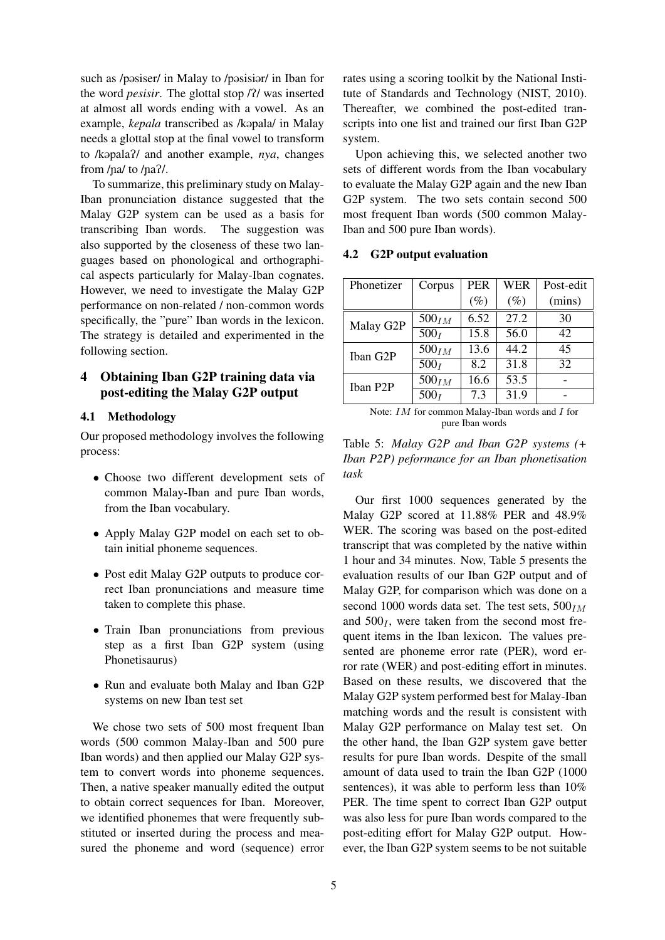such as /posiser/ in Malay to /posisior/ in Iban for the word *pesisir*. The glottal stop /?/ was inserted at almost all words ending with a vowel. As an example, *kepala* transcribed as /kopala/ in Malay needs a glottal stop at the final vowel to transform to /k@palaP/ and another example, *nya*, changes from  $/na/$  to  $/na?$ .

To summarize, this preliminary study on Malay-Iban pronunciation distance suggested that the Malay G2P system can be used as a basis for transcribing Iban words. The suggestion was also supported by the closeness of these two languages based on phonological and orthographical aspects particularly for Malay-Iban cognates. However, we need to investigate the Malay G2P performance on non-related / non-common words specifically, the "pure" Iban words in the lexicon. The strategy is detailed and experimented in the following section.

# 4 Obtaining Iban G2P training data via post-editing the Malay G2P output

# 4.1 Methodology

Our proposed methodology involves the following process:

- Choose two different development sets of common Malay-Iban and pure Iban words, from the Iban vocabulary.
- Apply Malay G2P model on each set to obtain initial phoneme sequences.
- Post edit Malay G2P outputs to produce correct Iban pronunciations and measure time taken to complete this phase.
- Train Iban pronunciations from previous step as a first Iban G2P system (using Phonetisaurus)
- Run and evaluate both Malay and Iban G2P systems on new Iban test set

We chose two sets of 500 most frequent Iban words (500 common Malay-Iban and 500 pure Iban words) and then applied our Malay G2P system to convert words into phoneme sequences. Then, a native speaker manually edited the output to obtain correct sequences for Iban. Moreover, we identified phonemes that were frequently substituted or inserted during the process and measured the phoneme and word (sequence) error rates using a scoring toolkit by the National Institute of Standards and Technology (NIST, 2010). Thereafter, we combined the post-edited transcripts into one list and trained our first Iban G2P system.

Upon achieving this, we selected another two sets of different words from the Iban vocabulary to evaluate the Malay G2P again and the new Iban G2P system. The two sets contain second 500 most frequent Iban words (500 common Malay-Iban and 500 pure Iban words).

#### 4.2 G2P output evaluation

| Phonetizer                                                                                                           | Corpus            | <b>PER</b> | WER    | Post-edit |
|----------------------------------------------------------------------------------------------------------------------|-------------------|------------|--------|-----------|
|                                                                                                                      |                   | $(\%)$     | $(\%)$ | (mins)    |
| Malay G2P                                                                                                            | 500 <sub>IM</sub> | 6.52       | 27.2   | 30        |
|                                                                                                                      | 500 <sub>I</sub>  | 15.8       | 56.0   | 42        |
| Iban G2P                                                                                                             | 500 <sub>IM</sub> | 13.6       | 44.2   | 45        |
|                                                                                                                      | 500 <sub>I</sub>  | 8.2        | 31.8   | 32        |
| Iban P2P                                                                                                             | 500 <sub>IM</sub> | 16.6       | 53.5   |           |
|                                                                                                                      | 500 <sub>I</sub>  | 7.3        | 31.9   |           |
| $M_{\text{max}}$ , $TM$ $L_{\text{max}}$ , $M_{\text{max}}$ , $M_{\text{max}}$ , $M_{\text{max}}$ , $M_{\text{max}}$ |                   |            |        |           |

Note: IM for common Malay-Iban words and I for pure Iban words

Table 5: *Malay G2P and Iban G2P systems (+ Iban P2P) peformance for an Iban phonetisation task*

Our first 1000 sequences generated by the Malay G2P scored at 11.88% PER and 48.9% WER. The scoring was based on the post-edited transcript that was completed by the native within 1 hour and 34 minutes. Now, Table 5 presents the evaluation results of our Iban G2P output and of Malay G2P, for comparison which was done on a second 1000 words data set. The test sets,  $500<sub>IM</sub>$ and  $500<sub>I</sub>$ , were taken from the second most frequent items in the Iban lexicon. The values presented are phoneme error rate (PER), word error rate (WER) and post-editing effort in minutes. Based on these results, we discovered that the Malay G2P system performed best for Malay-Iban matching words and the result is consistent with Malay G2P performance on Malay test set. On the other hand, the Iban G2P system gave better results for pure Iban words. Despite of the small amount of data used to train the Iban G2P (1000 sentences), it was able to perform less than 10% PER. The time spent to correct Iban G2P output was also less for pure Iban words compared to the post-editing effort for Malay G2P output. However, the Iban G2P system seems to be not suitable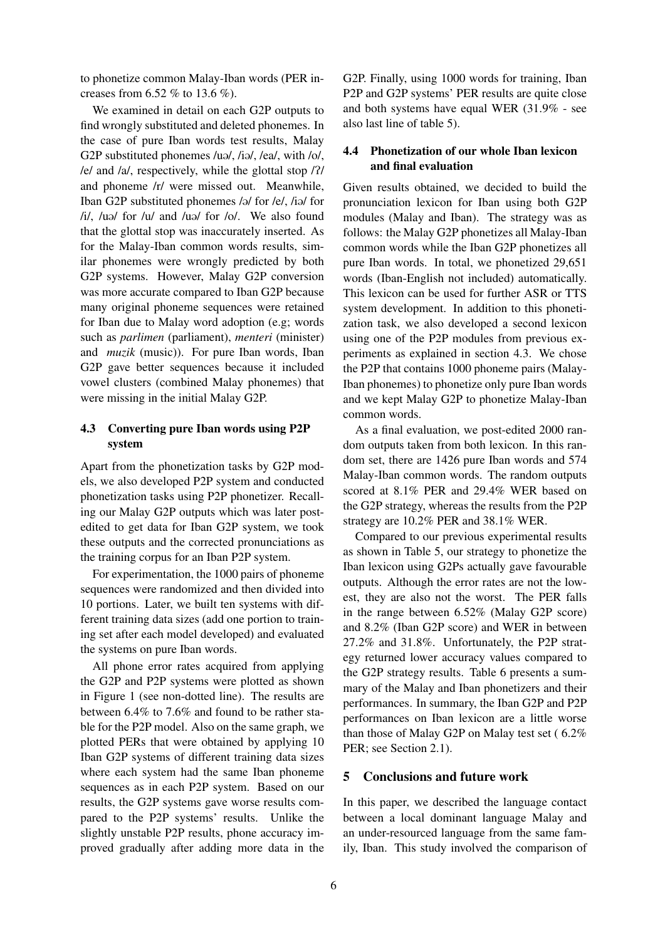to phonetize common Malay-Iban words (PER increases from 6.52 % to 13.6 %).

We examined in detail on each G2P outputs to find wrongly substituted and deleted phonemes. In the case of pure Iban words test results, Malay G2P substituted phonemes /uə/, /iə/, /ea/, with /o/, /e/ and /a/, respectively, while the glottal stop /P/ and phoneme /r/ were missed out. Meanwhile, Iban G2P substituted phonemes /ə/ for /e/, /iə/ for  $\frac{1}{4}$ ,  $\frac{1}{4}$   $\frac{1}{4}$  for  $\frac{1}{4}$   $\frac{1}{4}$   $\frac{1}{4}$   $\frac{1}{4}$   $\frac{1}{4}$  for  $\frac{1}{4}$   $\frac{1}{4}$   $\frac{1}{4}$   $\frac{1}{4}$   $\frac{1}{4}$   $\frac{1}{4}$   $\frac{1}{4}$   $\frac{1}{4}$   $\frac{1}{4}$   $\frac{1}{4}$   $\frac{1}{4}$   $\frac{1}{4}$   $\frac{1}{4}$   $\$ that the glottal stop was inaccurately inserted. As for the Malay-Iban common words results, similar phonemes were wrongly predicted by both G2P systems. However, Malay G2P conversion was more accurate compared to Iban G2P because many original phoneme sequences were retained for Iban due to Malay word adoption (e.g; words such as *parlimen* (parliament), *menteri* (minister) and *muzik* (music)). For pure Iban words, Iban G2P gave better sequences because it included vowel clusters (combined Malay phonemes) that were missing in the initial Malay G2P.

# 4.3 Converting pure Iban words using P2P system

Apart from the phonetization tasks by G2P models, we also developed P2P system and conducted phonetization tasks using P2P phonetizer. Recalling our Malay G2P outputs which was later postedited to get data for Iban G2P system, we took these outputs and the corrected pronunciations as the training corpus for an Iban P2P system.

For experimentation, the 1000 pairs of phoneme sequences were randomized and then divided into 10 portions. Later, we built ten systems with different training data sizes (add one portion to training set after each model developed) and evaluated the systems on pure Iban words.

All phone error rates acquired from applying the G2P and P2P systems were plotted as shown in Figure 1 (see non-dotted line). The results are between 6.4% to 7.6% and found to be rather stable for the P2P model. Also on the same graph, we plotted PERs that were obtained by applying 10 Iban G2P systems of different training data sizes where each system had the same Iban phoneme sequences as in each P2P system. Based on our results, the G2P systems gave worse results compared to the P2P systems' results. Unlike the slightly unstable P2P results, phone accuracy improved gradually after adding more data in the G2P. Finally, using 1000 words for training, Iban P2P and G2P systems' PER results are quite close and both systems have equal WER (31.9% - see also last line of table 5).

# 4.4 Phonetization of our whole Iban lexicon and final evaluation

Given results obtained, we decided to build the pronunciation lexicon for Iban using both G2P modules (Malay and Iban). The strategy was as follows: the Malay G2P phonetizes all Malay-Iban common words while the Iban G2P phonetizes all pure Iban words. In total, we phonetized 29,651 words (Iban-English not included) automatically. This lexicon can be used for further ASR or TTS system development. In addition to this phonetization task, we also developed a second lexicon using one of the P2P modules from previous experiments as explained in section 4.3. We chose the P2P that contains 1000 phoneme pairs (Malay-Iban phonemes) to phonetize only pure Iban words and we kept Malay G2P to phonetize Malay-Iban common words.

As a final evaluation, we post-edited 2000 random outputs taken from both lexicon. In this random set, there are 1426 pure Iban words and 574 Malay-Iban common words. The random outputs scored at 8.1% PER and 29.4% WER based on the G2P strategy, whereas the results from the P2P strategy are 10.2% PER and 38.1% WER.

Compared to our previous experimental results as shown in Table 5, our strategy to phonetize the Iban lexicon using G2Ps actually gave favourable outputs. Although the error rates are not the lowest, they are also not the worst. The PER falls in the range between 6.52% (Malay G2P score) and 8.2% (Iban G2P score) and WER in between 27.2% and 31.8%. Unfortunately, the P2P strategy returned lower accuracy values compared to the G2P strategy results. Table 6 presents a summary of the Malay and Iban phonetizers and their performances. In summary, the Iban G2P and P2P performances on Iban lexicon are a little worse than those of Malay G2P on Malay test set ( 6.2% PER; see Section 2.1).

# 5 Conclusions and future work

In this paper, we described the language contact between a local dominant language Malay and an under-resourced language from the same family, Iban. This study involved the comparison of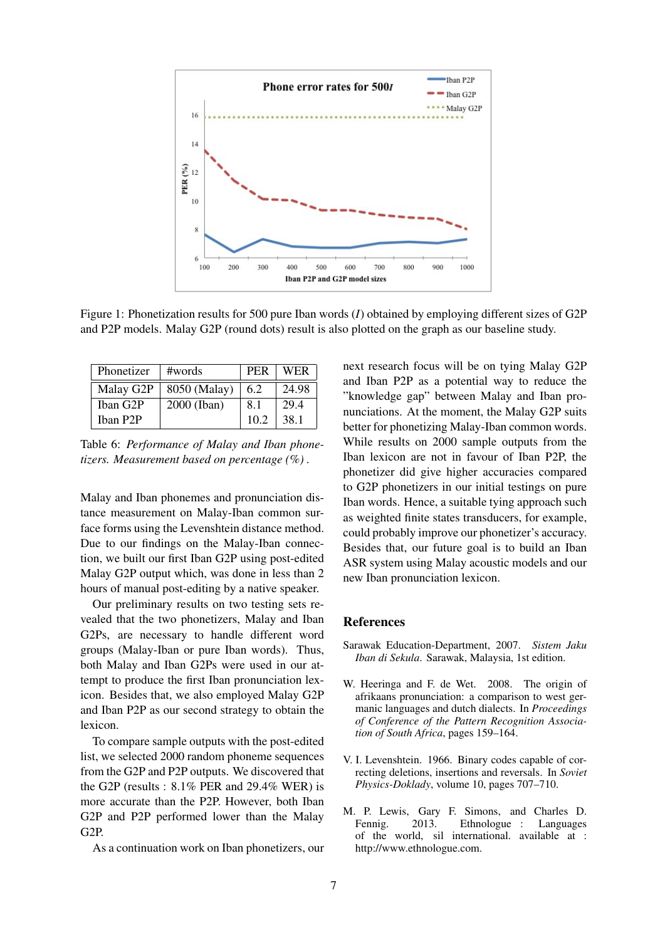

Figure 1: Phonetization results for 500 pure Iban words (*I*) obtained by employing different sizes of G2P and P2P models. Malay G2P (round dots) result is also plotted on the graph as our baseline study.

| Phonetizer | #words       | <b>PER</b> | <b>WER</b> |
|------------|--------------|------------|------------|
| Malay G2P  | 8050 (Malay) | 6.2        | 24.98      |
| Iban G2P   | 2000 (Iban)  | 8.1        | 29.4       |
| Iban P2P   |              | 102        | 38.1       |

Table 6: *Performance of Malay and Iban phonetizers. Measurement based on percentage (%) .*

Malay and Iban phonemes and pronunciation distance measurement on Malay-Iban common surface forms using the Levenshtein distance method. Due to our findings on the Malay-Iban connection, we built our first Iban G2P using post-edited Malay G2P output which, was done in less than 2 hours of manual post-editing by a native speaker.

Our preliminary results on two testing sets revealed that the two phonetizers, Malay and Iban G2Ps, are necessary to handle different word groups (Malay-Iban or pure Iban words). Thus, both Malay and Iban G2Ps were used in our attempt to produce the first Iban pronunciation lexicon. Besides that, we also employed Malay G2P and Iban P2P as our second strategy to obtain the lexicon.

To compare sample outputs with the post-edited list, we selected 2000 random phoneme sequences from the G2P and P2P outputs. We discovered that the G2P (results : 8.1% PER and 29.4% WER) is more accurate than the P2P. However, both Iban G2P and P2P performed lower than the Malay G2P.

As a continuation work on Iban phonetizers, our

next research focus will be on tying Malay G2P and Iban P2P as a potential way to reduce the "knowledge gap" between Malay and Iban pronunciations. At the moment, the Malay G2P suits better for phonetizing Malay-Iban common words. While results on 2000 sample outputs from the Iban lexicon are not in favour of Iban P2P, the phonetizer did give higher accuracies compared to G2P phonetizers in our initial testings on pure Iban words. Hence, a suitable tying approach such as weighted finite states transducers, for example, could probably improve our phonetizer's accuracy. Besides that, our future goal is to build an Iban ASR system using Malay acoustic models and our new Iban pronunciation lexicon.

#### References

- Sarawak Education-Department, 2007. *Sistem Jaku Iban di Sekula*. Sarawak, Malaysia, 1st edition.
- W. Heeringa and F. de Wet. 2008. The origin of afrikaans pronunciation: a comparison to west germanic languages and dutch dialects. In *Proceedings of Conference of the Pattern Recognition Association of South Africa*, pages 159–164.
- V. I. Levenshtein. 1966. Binary codes capable of correcting deletions, insertions and reversals. In *Soviet Physics-Doklady*, volume 10, pages 707–710.
- M. P. Lewis, Gary F. Simons, and Charles D. Fennig. 2013. Ethnologue : Languages of the world, sil international. available at : http://www.ethnologue.com.